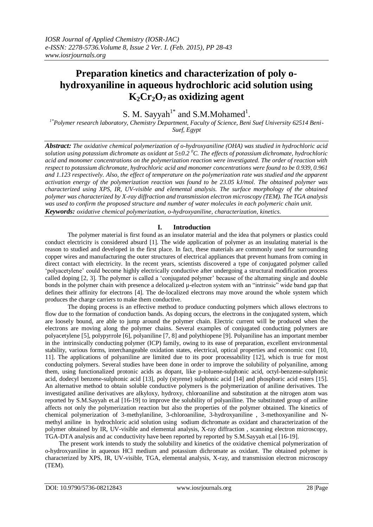# **Preparation kinetics and characterization of poly ohydroxyaniline in aqueous hydrochloric acid solution using K2Cr2O7 as oxidizing agent**

S. M. Sayyah<sup>1\*</sup> and S.M.Mohamed<sup>1</sup>.

*1\*Polymer research laboratory, Chemistry Department, Faculty of Science, Beni Suef University 62514 Beni-Suef, Egypt*

*Abstract: The oxidative chemical polymerization of o-hydroxyaniline (OHA) was studied in hydrochloric acid solution using potassium dichromate as oxidant at 5±0.2 <sup>0</sup>C. The effects of potassium dichromate, hydrochloric acid and monomer concentrations on the polymerization reaction were investigated. The order of reaction with respect to potassium dichromate, hydrochloric acid and monomer concentrations were found to be 0.939, 0.961 and 1.123 respectively. Also, the effect of temperature on the polymerization rate was studied and the apparent activation energy of the polymerization reaction was found to be 23.05 kJ/mol. The obtained polymer was characterized using XPS, IR, UV-visible and elemental analysis. The surface morphology of the obtained polymer was characterized by X-ray diffraction and transmission electron microscopy (TEM). The TGA analysis was used to confirm the proposed structure and number of water molecules in each polymeric chain unit. Keywords: oxidative chemical polymerization, o-hydroxyaniline, characterization, kinetics.*

# **I. Introduction**

The polymer material is first found as an insulator material and the idea that polymers or plastics could conduct electricity is considered absurd [1]. The wide application of polymer as an insulating material is the reason to studied and developed in the first place. In fact, these materials are commonly used for surrounding copper wires and manufacturing the outer structures of electrical appliances that prevent humans from coming in direct contact with electricity. In the recent years, scientists discovered a type of conjugated polymer called "polyacetylene" could become highly electrically conductive after undergoing a structural modification process called doping [2, 3]. The polymer is called a 'conjugated polymer' because of the alternating single and double bonds in the polymer chain with presence a delocalized  $\mu$ -electron system with an "intrinsic" wide band gap that defines their affinity for electrons [4]. The de-localized electrons may move around the whole system which produces the charge carriers to make them conductive.

The doping process is an effective method to produce conducting polymers which allows electrons to flow due to the formation of conduction bands. As doping occurs, the electrons in the conjugated system, which are loosely bound, are able to jump around the polymer chain. Electric current will be produced when the electrons are moving along the polymer chains. Several examples of conjugated conducting polymers are polyacetylene [5], polypyrrole [6], polyaniline [7, 8] and polythiopene [9]. Polyaniline has an important member in the intrinsically conducting polymer (ICP) family, owing to its ease of preparation, excellent environmental stability, various forms, interchangeable oxidation states, electrical, optical properties and economic cost [10, 11]. The applications of polyaniline are limited due to its poor processability [12], which is true for most conducting polymers. Several studies have been done in order to improve the solubility of polyaniline, among them, using functionalized protonic acids as dopant, like p-toluene-sulphonic acid, octyl-benzene-sulphonic acid, dodecyl benzene-sulphonic acid [13], poly (styrene) sulphonic acid [14] and phosphoric acid esters [15]. An alternative method to obtain soluble conductive polymers is the polymerization of aniline derivatives. The investigated aniline derivatives are alkyloxy, hydroxy, chloroaniline and substitution at the nitrogen atom was reported by S.M.Sayyah et.al [16-19] to improve the solubility of polyaniline. The substituted group of aniline affects not only the polymerization reaction but also the properties of the polymer obtained. The kinetics of chemical polymerization of 3-methylaniline, 3-chloroaniline, 3-hydroxyaniline , 3-methoxyaniline and Nmethyl aniline in hydrochloric acid solution using sodium dichromate as oxidant and characterization of the polymer obtained by IR, UV-visible and elemental analysis, X-ray diffraction , scanning electron microscopy, TGA-DTA analysis and ac conductivity have been reported by reported by S.M.Sayyah et.al [16-19].

The present work intends to study the solubility and kinetics of the oxidative chemical polymerization of o-hydroxyaniline in aqueous HCl medium and potassium dichromate as oxidant. The obtained polymer is characterized by XPS, IR, UV-visible, TGA, elemental analysis, X-ray, and transmission electron microscopy (TEM).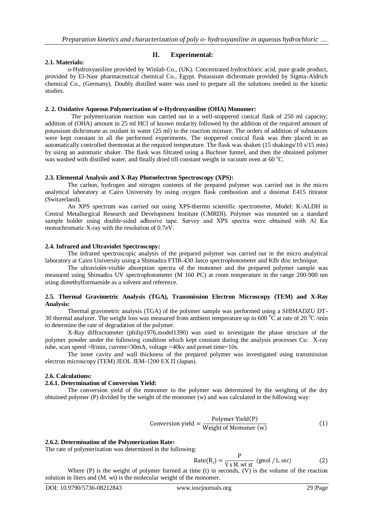## **2.1. Materials:**

# **II. Experimental:**

o-Hydroxyaniline provided by Winlab Co., (UK). Concentrated hydrochloric acid, pure grade product, provided by El-Nasr pharmaceutical chemical Co., Egypt. Potassium dichromate provided by Sigma-Aldrich chemical Co., (Germany). Doubly distilled water was used to prepare all the solutions needed in the kinetic studies.

#### **2. 2. Oxidative Aqueous Polymerization of o-Hydroxyaniline (OHA) Monomer:**

The polymerization reaction was carried out in a well-stoppered conical flask of 250 ml capacity; addition of (OHA) amount in 25 ml HCl of known molarity followed by the addition of the required amount of potassium dichromate as oxidant in water (25 ml) to the reaction mixture. The orders of addition of substances were kept constant in all the performed experiments. The stoppered conical flask was then placed in an automatically controlled thermostat at the required temperature. The flask was shaken (15 shakings/10 s/15 min) by using an automatic shaker. The flask was filtrated using a Buchner funnel, and then the obtained polymer was washed with distilled water, and finally dried till constant weight in vacuum oven at 60 °C.

#### **2.3. Elemental Analysis and X-Ray Photoelectron Spectroscopy (XPS):**

The carbon, hydrogen and nitrogen contents of the prepared polymer was carried out in the micro analytical laboratory at Cairo University by using oxygen flask combustion and a dosimat E415 titirator (Switzerland).

An XPS spectrum was carried out using XPS-thermo scientific spectrometer, Model: K-ALDH in Central Metallurgical Research and Development Institute (CMRDI). Polymer was mounted on a standard sample holder using double-sided adhesive tape. Survey and XPS spectra were obtained with Al Kα monochromatic X-ray with the resolution of 0.7eV.

#### **2.4. Infrared and Ultraviolet Spectroscopy:**

The infrared spectroscopic analysis of the prepared polymer was carried out in the micro analytical laboratory at Cairo University using a Shimadzu FTIR-430 Jasco spectrophotometer and KBr disc technique.

The ultraviolet-visible absorption spectra of the monomer and the prepared polymer sample was measured using Shimadzu UV spectrophotometer (M 160 PC) at room temperature in the range 200-900 nm using dimethylformamide as a solvent and reference.

#### **2.5. Thermal Gravimetric Analysis (TGA), Transmission Electron Microscopy (TEM) and X-Ray Analysis:**

Thermal gravimetric analysis (TGA) of the polymer sample was performed using a SHIMADZU DT-30 thermal analyzer. The weight loss was measured from ambient temperature up to 600  $\rm{^0C}$  at rate of 20  $\rm{^0C}$  /min to determine the rate of degradation of the polymer.

X-Ray diffractometer (philip1976.model1390) was used to investigate the phase structure of the polymer powder under the following condition which kept constant during the analysis processes Cu: X-ray tube, scan speed  $=8/\text{min}$ , current=30mA, voltage  $=40$ kv and preset time=10s.

The inner cavity and wall thickness of the prepared polymer was investigated using transmission electron microscopy (TEM) JEOL JEM-1200 EX П (Japan).

## **2.6. Calculations:**

#### **2.6.1. Determination of Conversion Yield:**

The conversion yield of the monomer to the polymer was determined by the weighing of the dry obtained polymer (P) divided by the weight of the monomer (w) and was calculated in the following way:

$$
Conversion yield = \frac{Polymer Yield(P)}{Weight of Moment(w)}
$$
 (1)

#### **2.6.2. Determination of the Polymerization Rate:**

The rate of polymerization was determined in the following:

$$
Rate(R_i) = \frac{P}{V \times M. wt \times t} \text{ (gmol / L. sec)}
$$
 (2)

Where (P) is the weight of polymer formed at time (t) in seconds, (V) is the volume of the reaction solution in liters and (M. wt) is the molecular weight of the monomer.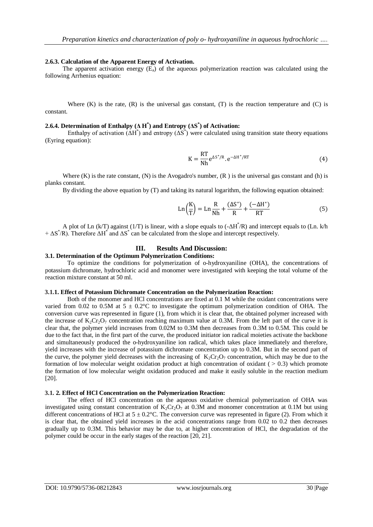#### **2.6.3. Calculation of the Apparent Energy of Activation.**

The apparent activation energy  $(E_a)$  of the aqueous polymerization reaction was calculated using the following Arrhenius equation:

Where  $(K)$  is the rate,  $(R)$  is the universal gas constant,  $(T)$  is the reaction temperature and  $(C)$  is constant.

## **2.6.4. Determination of Enthalpy (Δ H \* ) and Entropy (ΔS \* ) of Activation:**

Enthalpy of activation  $(\Delta H^*)$  and entropy  $(\Delta S^*)$  were calculated using transition state theory equations (Eyring equation):

$$
K = \frac{RT}{Nh} e^{\Delta S^*/R} \cdot e^{-\Delta H^*/RT}
$$
 (4)

Where  $(K)$  is the rate constant,  $(N)$  is the Avogadro's number,  $(R)$  is the universal gas constant and  $(h)$  is planks constant.

By dividing the above equation by (T) and taking its natural logarithm, the following equation obtained:

$$
\operatorname{Ln}\left(\frac{K}{T}\right) = \operatorname{Ln}\frac{R}{Nh} + \frac{(\Delta S^*)}{R} + \frac{(-\Delta H^*)}{RT}
$$
(5)

A plot of Ln (k/T) against (1/T) is linear, with a slope equals to  $(-\Delta H^* / R)$  and intercept equals to (Ln. k/h  $+ \Delta S^* / R$ ). Therefore  $\Delta H^*$  and  $\Delta S^*$  can be calculated from the slope and intercept respectively.

## **III. Results And Discussion:**

## **3.1. Determination of the Optimum Polymerization Conditions:**

To optimize the conditions for polymerization of o-hydroxyaniline (OHA), the concentrations of potassium dichromate, hydrochloric acid and monomer were investigated with keeping the total volume of the reaction mixture constant at 50 ml.

#### **3.1.1. Effect of Potassium Dichromate Concentration on the Polymerization Reaction:**

Both of the monomer and HCl concentrations are fixed at 0.1 M while the oxidant concentrations were varied from 0.02 to 0.5M at  $5 \pm 0.2$ °C to investigate the optimum polymerization condition of OHA. The conversion curve was represented in figure (1), from which it is clear that, the obtained polymer increased with the increase of  $K_2Cr_2O_7$  concentration reaching maximum value at 0.3M. From the left part of the curve it is clear that, the polymer yield increases from 0.02M to 0.3M then decreases from 0.3M to 0.5M. This could be due to the fact that, in the first part of the curve, the produced initiator ion radical moieties activate the backbone and simultaneously produced the o-hydroxyaniline ion radical, which takes place immediately and therefore, yield increases with the increase of potassium dichromate concentration up to 0.3M. But in the second part of the curve, the polymer yield decreases with the increasing of  $K_2Cr_2O_7$  concentration, which may be due to the formation of low molecular weight oxidation product at high concentration of oxidant ( $> 0.3$ ) which promote the formation of low molecular weight oxidation produced and make it easily soluble in the reaction medium [20].

## **3.1. 2. Effect of HCl Concentration on the Polymerization Reaction:**

The effect of HCl concentration on the aqueous oxidative chemical polymerization of OHA was investigated using constant concentration of  $K_2Cr_2O_7$  at 0.3M and monomer concentration at 0.1M but using different concentrations of HCl at  $5 \pm 0.2$ °C. The conversion curve was represented in figure (2). From which it is clear that, the obtained yield increases in the acid concentrations range from 0.02 to 0.2 then decreases gradually up to 0.3M. This behavior may be due to, at higher concentration of HCl, the degradation of the polymer could be occur in the early stages of the reaction [20, 21].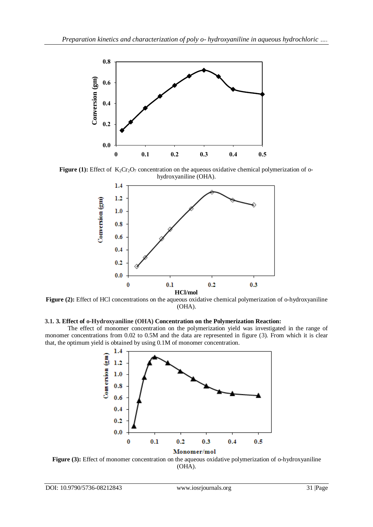

**Figure (1):** Effect of  $K_2Cr_2O_7$  concentration on the aqueous oxidative chemical polymerization of ohydroxyaniline (OHA).



Figure (2): Effect of HCl concentrations on the aqueous oxidative chemical polymerization of o-hydroxyaniline (OHA).

# **3.1. 3. Effect of o-Hydroxyaniline (OHA) Concentration on the Polymerization Reaction:**

The effect of monomer concentration on the polymerization yield was investigated in the range of monomer concentrations from 0.02 to 0.5M and the data are represented in figure (3). From which it is clear that, the optimum yield is obtained by using 0.1M of monomer concentration.



**Figure (3):** Effect of monomer concentration on the aqueous oxidative polymerization of o-hydroxyaniline (OHA).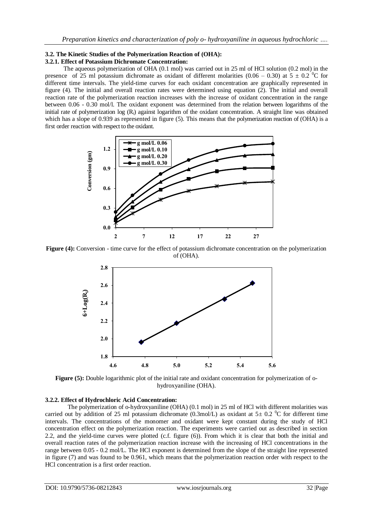#### **3.2. The Kinetic Studies of the Polymerization Reaction of (OHA): 3.2.1. Effect of Potassium Dichromate Concentration:**

The aqueous polymerization of OHA (0.1 mol) was carried out in 25 ml of HCl solution (0.2 mol) in the presence of 25 ml potassium dichromate as oxidant of different molarities (0.06 – 0.30) at 5  $\pm$  0.2 <sup>o</sup>C for different time intervals. The yield-time curves for each oxidant concentration are graphically represented in figure (4). The initial and overall reaction rates were determined using equation (2). The initial and overall reaction rate of the polymerization reaction increases with the increase of oxidant concentration in the range between 0.06 - 0.30 mol/l. The oxidant exponent was determined from the relation between logarithms of the initial rate of polymerization  $log(R<sub>i</sub>)$  against logarithm of the oxidant concentration. A straight line was obtained which has a slope of 0.939 as represented in figure (5). This means that the polymerization reaction of (OHA) is a first order reaction with respect to the oxidant.



**Figure (4):** Conversion - time curve for the effect of potassium dichromate concentration on the polymerization of (OHA).



**Figure (5):** Double logarithmic plot of the initial rate and oxidant concentration for polymerization of ohydroxyaniline (OHA).

## **3.2.2. Effect of Hydrochloric Acid Concentration:**

The polymerization of o-hydroxyaniline (OHA) (0.1 mol) in 25 ml of HCl with different molarities was carried out by addition of 25 ml potassium dichromate (0.3mol/L) as oxidant at  $5\pm$  0.2 <sup>o</sup>C for different time intervals. The concentrations of the monomer and oxidant were kept constant during the study of HCl concentration effect on the polymerization reaction. The experiments were carried out as described in section 2.2, and the yield-time curves were plotted (c.f. figure (6)). From which it is clear that both the initial and overall reaction rates of the polymerization reaction increase with the increasing of HCl concentrations in the range between 0.05 - 0.2 mol/L. The HCl exponent is determined from the slope of the straight line represented in figure (7) and was found to be 0.961, which means that the polymerization reaction order with respect to the HCl concentration is a first order reaction.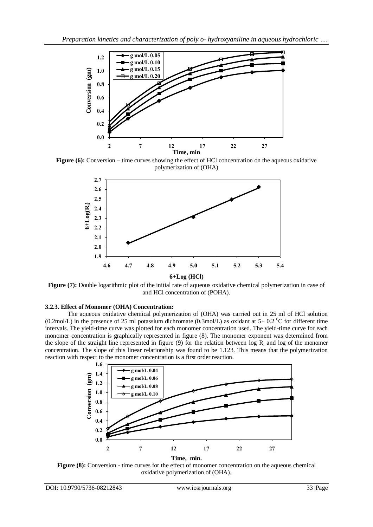

**Figure (6):** Conversion – time curves showing the effect of HCl concentration on the aqueous oxidative polymerization of (OHA)



**Figure (7):** Double logarithmic plot of the initial rate of aqueous oxidative chemical polymerization in case of and HCl concentration of (POHA).

# **3.2.3. Effect of Monomer (OHA) Concentration:**

The aqueous oxidative chemical polymerization of (OHA) was carried out in 25 ml of HCl solution (0.2mol/L) in the presence of 25 ml potassium dichromate (0.3mol/L) as oxidant at  $5\pm$  0.2 <sup>o</sup>C for different time intervals. The yield-time curve was plotted for each monomer concentration used. The yield-time curve for each monomer concentration is graphically represented in figure (8). The monomer exponent was determined from the slope of the straight line represented in figure (9) for the relation between log  $R_i$ ; and log of the monomer concentration. The slope of this linear relationship was found to be 1.123. This means that the polymerization reaction with respect to the monomer concentration is a first order reaction.



**Figure (8):** Conversion - time curves for the effect of monomer concentration on the aqueous chemical oxidative polymerization of (OHA).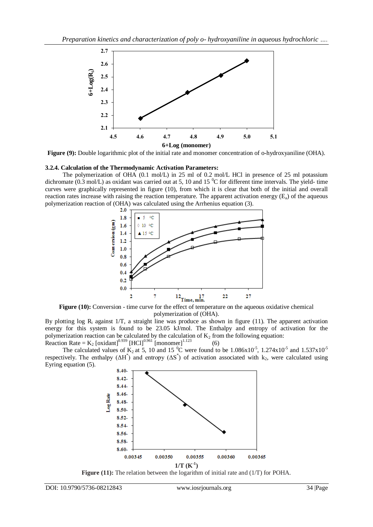

**Figure (9):** Double logarithmic plot of the initial rate and monomer concentration of o-hydroxyaniline (OHA).

## **3.2.4. Calculation of the Thermodynamic Activation Parameters:**

The polymerization of OHA (0.1 mol/L) in 25 ml of 0.2 mol/L HCl in presence of 25 ml potassium dichromate  $(0.3 \text{ mol/L})$  as oxidant was carried out at 5, 10 and 15  $^{\circ}$ C for different time intervals. The yield- time curves were graphically represented in figure (10), from which it is clear that both of the initial and overall reaction rates increase with raising the reaction temperature. The apparent activation energy  $(E_a)$  of the aqueous polymerization reaction of (OHA) was calculated using the Arrhenius equation (3).



**Figure (10):** Conversion - time curve for the effect of temperature on the aqueous oxidative chemical polymerization of (OHA).

By plotting log R<sub>i</sub> against  $1/T$ , a straight line was produce as shown in figure (11). The apparent activation energy for this system is found to be 23.05 kJ/mol. The Enthalpy and entropy of activation for the polymerization reaction can be calculated by the calculation of  $K_2$  from the following equation: Reaction Rate =  $K_2$  [oxidant]<sup>0.939</sup> [HCl]<sup>0.961</sup> [monomer]<sup>1.123</sup>  $(6)$ 

The calculated values of  $K_2$  at 5, 10 and 15 <sup>o</sup>C were found to be 1.086x10<sup>-5</sup>, 1.274x10<sup>-5</sup> and 1.537x10<sup>-5</sup> respectively. The enthalpy  $( \Delta H^* )$  and entropy  $( \Delta S^* )$  of activation associated with k<sub>2</sub>, were calculated using Eyring equation (5).



**Figure (11):** The relation between the logarithm of initial rate and (1/T) for POHA.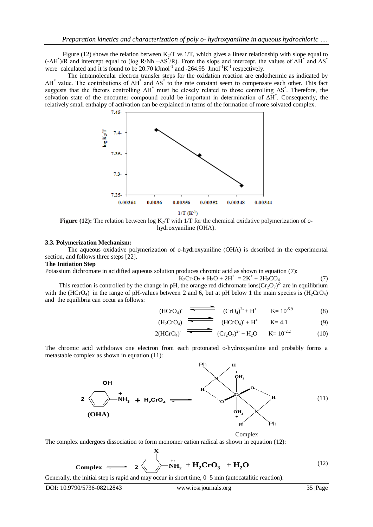Figure (12) shows the relation between  $K<sub>2</sub>/T$  vs 1/T, which gives a linear relationship with slope equal to (- $\Delta H^*$ )/R and intercept equal to (log R/Nh + $\Delta S^*$ /R). From the slops and intercept, the values of  $\Delta H^*$  and  $\Delta S^*$ were calculated and it is found to be  $20.70 \text{ kJmol}^{-1}$  and  $-264.95 \text{ Jmol}^{-1} \text{K}^{-1}$  respectively.

The intramolecular electron transfer steps for the oxidation reaction are endothermic as indicated by  $\Delta H^*$  value. The contributions of  $\Delta H^*$  and  $\Delta S^*$  to the rate constant seem to compensate each other. This fact suggests that the factors controlling  $\Delta H^*$  must be closely related to those controlling  $\Delta S^*$ . Therefore, the solvation state of the encounter compound could be important in determination of ΔH\* . Consequently, the relatively small enthalpy of activation can be explained in terms of the formation of more solvated complex.



**Figure (12):** The relation between  $\log K_2/T$  with  $1/T$  for the chemical oxidative polymerization of ohydroxyaniline (OHA).

#### **3.3. Polymerization Mechanism:**

The aqueous oxidative polymerization of o-hydroxyaniline (OHA) is described in the experimental section, and follows three steps [22].

## **The Initiation Step**

Potassium dichromate in acidified aqueous solution produces chromic acid as shown in equation (7):

$$
K_2Cr_2O_7 + H_2O + 2H^+ = 2K^+ + 2H_2CO_4 \tag{7}
$$

This reaction is controlled by the change in pH, the orange red dichromate ions( $Cr_2O_7$ )<sup>2-</sup> are in equilibrium with the (HCrO<sub>4</sub>) in the range of pH-values between 2 and 6, but at pH below 1 the main species is  $(H_2$ CrO<sub>4</sub>) and the equilibria can occur as follows:

(HCrO<sub>4</sub>)
$$
\overline{C_1C_4)^2 + H^+} \qquad K = 10^{-5.9} \tag{8}
$$

$$
(H_2CrO_4) \xrightarrow{\bullet} (HCrO_4) + H^+ \qquad K = 4.1 \tag{9}
$$

$$
2(HCrO4)^{\cdot} \xrightarrow{\bullet} (Cr2O7)2 + H2O \qquad K = 10-2.2
$$
 (10)

The chromic acid withdraws one electron from each protonated o-hydroxyaniline and probably forms a metastable complex as shown in equation (11):



Complex

The complex undergoes dissociation to form monomer cation radical as shown in equation (12):

**X**

**Complex** 
$$
= 2 \sqrt{\frac{1}{NH_2} + H_2CrO_3} + H_2O
$$
 (12)  
Generally, the initial step is rapid and may occur in short time, 0–5 min (autocatalitic reaction).  
DOI: 10.9790/5736-08212843 *www.iosrjournals.org* 35 |Page

Generally, the initial step is rapid and may occur in short time, 0–5 min (autocatalitic reaction).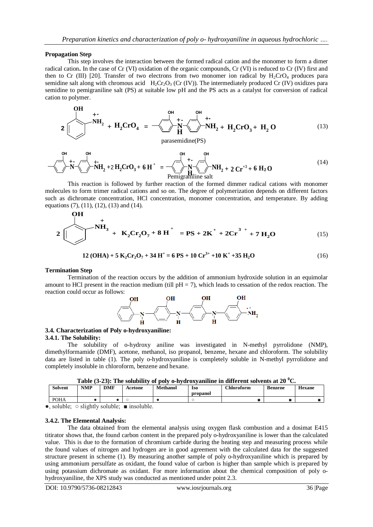## **Propagation Step**

 $\sim$   $-$ 

This step involves the interaction between the formed radical cation and the monomer to form a dimer radical cation**.** In the case of Cr (VI) oxidation of the organic compounds, Cr (VI) is reduced to Cr (IV) first and then to Cr (III) [20]. Transfer of two electrons from two monomer ion radical by  $H_2$ CrO<sub>4</sub> produces para semidine salt along with chromous acid  $H_2Cr_2O_3$  (Cr (IV)). The intermediately produced Cr (IV) oxidizes para semidine to pemigraniline salt (PS) at suitable low pH and the PS acts as a catalyst for conversion of radical cation to polymer.

$$
2 \left( \frac{\partial H}{\partial H_2} + H_2 C r O_4 \right) = \frac{\partial H}{\partial H_2} + \frac{\partial H}{\partial H_2} + H_2 C r O_3 + H_2 O \qquad (13)
$$

parasemidine(PS)

$$
-\sqrt{\sum_{i=1}^{OH} + \sum_{i=1}^{OH} + \sum_{i=1}^{OH} + \sum_{i=1}^{OH} + \sum_{i=1}^{OH} + \sum_{i=1}^{OH} + \sum_{i=1}^{OH} + \sum_{i=1}^{OH} + \sum_{i=1}^{OH} + \sum_{i=1}^{OH} + \sum_{i=1}^{OH} + \sum_{i=1}^{OH} + \sum_{i=1}^{OH} + \sum_{i=1}^{OH} + \sum_{i=1}^{OH} + \sum_{i=1}^{OH} + \sum_{i=1}^{OH} + \sum_{i=1}^{OH} + \sum_{i=1}^{OH} + \sum_{i=1}^{OH} + \sum_{i=1}^{OH} + \sum_{i=1}^{OH} + \sum_{i=1}^{OH} + \sum_{i=1}^{H} + \sum_{i=1}^{H} + \sum_{i=1}^{H} + \sum_{i=1}^{H} + \sum_{i=1}^{H} + \sum_{i=1}^{H} + \sum_{i=1}^{H} + \sum_{i=1}^{H} + \sum_{i=1}^{H} + \sum_{i=1}^{H} + \sum_{i=1}^{H} + \sum_{i=1}^{H} + \sum_{i=1}^{H} + \sum_{i=1}^{H} + \sum_{i=1}^{H} + \sum_{i=1}^{H} + \sum_{i=1}^{H} + \sum_{i=1}^{H} + \sum_{i=1}^{H} + \sum_{i=1}^{H} + \sum_{i=1}^{H} + \sum_{i=1}^{H} + \sum_{i=1}^{H} + \sum_{i=1}^{H} + \sum_{i=1}^{H} + \sum_{i=1}^{H} + \sum_{i=1}^{H} + \sum_{i=1}^{H} + \sum_{i=1}^{H} + \sum_{i=1}^{H} + \sum_{i=1}^{H} + \sum_{i=1}^{H} + \sum_{i=1}^{H} + \sum_{i=1}^{H} + \sum_{i=1}^{H} + \sum_{i=1}^{H} + \sum_{i=1}^{H} + \sum_{i=1}^{H} + \sum_{i=1}^{H} + \sum_{i=1}^{H} + \sum_{i=1}^{H} + \sum_{i=1}^{H} + \sum_{i=1}^{H} + \sum_{i=1}^{H} + \sum_{i=1}^{H} + \sum_{i=1}^{H
$$

This reaction is followed by further reaction of the formed dimmer radical cations with monomer molecules to form trimer radical cations and so on. The degree of polymerization depends on different factors such as dichromate concentration, HCl concentration, monomer concentration, and temperature. By adding equations (7), (11), (12), (13) and (14).

$$
2 \underbrace{\left(\bigvee_{i=1}^{N} A_{i} + K_{2}Cr_{2}O_{7} + 8 \text{ H}^{+} \right)}_{= PS + 2K^{+} + 2Cr^{3+} + 7 \text{ H}_{2}O}
$$
(15)

 **12 (OHA) + 5 K2Cr2O<sup>7</sup> + 34 H<sup>+</sup> = 6 PS + 10 Cr3+ +10 K<sup>+</sup> +35 H2O** (16)

#### **Termination Step**

 $\overline{O}$ 

Termination of the reaction occurs by the addition of ammonium hydroxide solution in an equimolar amount to HCl present in the reaction medium (till  $pH = 7$ ), which leads to cessation of the redox reaction. The reaction could occur as follows:



#### **3.4. Characterization of Poly o-hydroxyaniline: 3.4.1. The Solubility:**

The solubility of o-hydroxy aniline was investigated in N-methyl pyrrolidone (NMP), dimethylformamide (DMF), acetone, methanol, iso propanol, benzene, hexane and chloroform. The solubility data are listed in table (1). The poly o-hydroxyaniline is completely soluble in N-methyl pyrrolidone and completely insoluble in chloroform, benzene and hexane.

| Table (3-23): The solubility of poly o-hydroxyaniline in different solvents at 20 $\rm{^0C}$ . |
|------------------------------------------------------------------------------------------------|
|------------------------------------------------------------------------------------------------|

| <b>POHA</b> |
|-------------|

●, soluble; ○ slightly soluble; ■ insoluble.

#### **3.4.2. The Elemental Analysis:**

The data obtained from the elemental analysis using oxygen flask combustion and a dosimat E415 titirator shows that, the found carbon content in the prepared poly o-hydroxyaniline is lower than the calculated value. This is due to the formation of chromium carbide during the heating step and measuring process while the found values of nitrogen and hydrogen are in good agreement with the calculated data for the suggested structure present in scheme (1). By measuring another sample of poly o-hydroxyaniline which is prepared by using ammonium persulfate as oxidant, the found value of carbon is higher than sample which is prepared by using potassium dichromate as oxidant. For more information about the chemical composition of poly ohydroxyaniline, the XPS study was conducted as mentioned under point 2.3.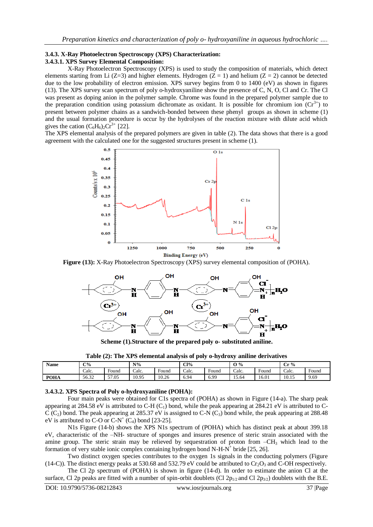#### **3.4.3. X-Ray Photoelectron Spectroscopy (XPS) Characterization: 3.4.3.1. XPS Survey Elemental Composition:**

X-Ray Photoelectron Spectroscopy (XPS) is used to study the composition of materials, which detect elements starting from Li (Z=3) and higher elements. Hydrogen (Z = 1) and helium (Z = 2) cannot be detected due to the low probability of electron emission. XPS survey begins from 0 to 1400 (eV) as shown in figures (13). The XPS survey scan spectrum of poly o-hydroxyaniline show the presence of C, N, O, Cl and Cr. The Cl was present as doping anion in the polymer sample. Chrome was found in the prepared polymer sample due to the preparation condition using potassium dichromate as oxidant. It is possible for chromium ion  $(Cr^{3+})$  to present between polymer chains as a sandwich-bonded between these phenyl groups as shown in scheme (1) and the usual formation procedure is occur by the hydrolyses of the reaction mixture with dilute acid which gives the cation  $(C_6H_6)_2Cr^{3+}$  [22].

The XPS elemental analysis of the prepared polymers are given in table (2). The data shows that there is a good agreement with the calculated one for the suggested structures present in scheme (1).



**Figure (13):** X-Ray Photoelectron Spectroscopy (XPS) survey elemental composition of (POHA).



**Scheme (1).Structure of the prepared poly o- substituted aniline.**

**Table (2): The XPS elemental analysis of poly o-hydroxy aniline derivatives**

| <b>Name</b> | $C\%$ |                                   | $N\%$ |                                   | Cl%                    |                                   | $\mathbf{O} \%$ |            | $\sim$<br>$r\%$<br>u |                                   |
|-------------|-------|-----------------------------------|-------|-----------------------------------|------------------------|-----------------------------------|-----------------|------------|----------------------|-----------------------------------|
|             | Calc. | $\overline{\phantom{0}}$<br>Found | Calc. | $\overline{\phantom{0}}$<br>Found | $\sim$ $\sim$<br>Calc. | $\overline{\phantom{0}}$<br>Found | Calc.           | -<br>Found | Calc.                | $\overline{\phantom{0}}$<br>Found |
| <b>POHA</b> | 56.32 | 57.05                             | 10.95 | 10.26<br>L∪⊷∠∪                    | 0.94                   | 6.99                              | 15.64           | 16.01      | 10.15                | 9.69                              |

## **3.4.3.2. XPS Spectra of Poly o-hydroxyaniline (POHA):**

Four main peaks were obtained for C1s spectra of (POHA) as shown in Figure (14-a). The sharp peak appearing at 284.58 eV is attributed to C-H  $(C_1)$  bond, while the peak appearing at 284.21 eV is attributed to C-C (C<sub>2</sub>) bond. The peak appearing at 285.37 eV is assigned to C-N (C<sub>3</sub>) bond while, the peak appearing at 288.48 eV is attributed to C-O or C-N<sup>+</sup> (C<sub>4</sub>) bond [23-25].

N1s Figure (14-b) shows the XPS N1s spectrum of (POHA) which has distinct peak at about 399.18 eV, characteristic of the –NH- structure of sponges and insures presence of steric strain associated with the amine group. The steric strain may be relieved by sequestration of proton from  $-CH_3$  which lead to the formation of very stable ionic complex containing hydrogen bond N-H- $N^+$  bride [25, 26].

Two distinct oxygen species contributes to the oxygen 1s signals in the conducting polymers (Figure (14-C)). The distinct energy peaks at 530.68 and 532.79 eV could be attributed to  $Cr_2O_3$  and C-OH respectively.

The Cl 2p spectrum of (POHA) is shown in figure (14-d). In order to estimate the anion Cl at the surface, Cl 2p peaks are fitted with a number of spin-orbit doublets (Cl 2p<sub>1/2</sub> and Cl 2p<sub>3/2</sub>) doublets with the B.E.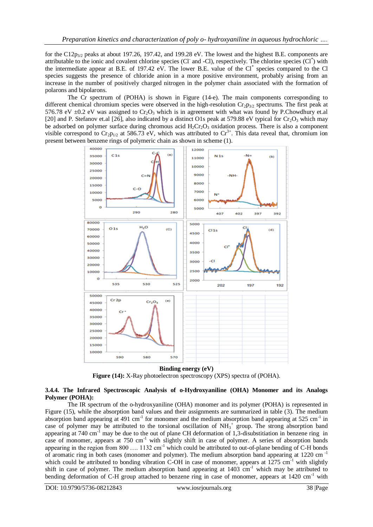for the C12p<sub>3/2</sub> peaks at about 197.26, 197.42, and 199.28 eV. The lowest and the highest B.E. components are attributable to the ionic and covalent chlorine species (Cl<sup>-</sup> and -Cl), respectively. The chlorine species (Cl<sup>\*</sup>) with the intermediate appear at B.E. of 197.42 eV. The lower B.E. value of the Cl<sup>\*</sup> species compared to the Cl species suggests the presence of chloride anion in a more positive environment, probably arising from an increase in the number of positively charged nitrogen in the polymer chain associated with the formation of polarons and bipolarons.

The Cr spectrum of (POHA) is shown in Figure (14-e). The main components corresponding to different chemical chromium species were observed in the high-resolution  $Cr_2p_{3/2}$  spectrums. The first peak at 576.78 eV  $\pm$ 0.2 eV was assigned to Cr<sub>2</sub>O<sub>3</sub> which is in agreement with what was found by P.Chowdhury et.al [20] and P. Stefanov et.al [26], also indicated by a distinct O1s peak at 579.88 eV typical for  $Cr_2O_3$  which may be adsorbed on polymer surface during chromous acid  $H_2Cr_2O_3$  oxidation process. There is also a component visible correspond to  $Cr_2p_{1/2}$  at 586.73 eV, which was attributed to  $Cr^{3+}$ . This data reveal that, chromium ion present between benzene rings of polymeric chain as shown in scheme (1).



**Binding energy (eV) Figure (14):** X-Ray photoelectron spectroscopy (XPS) spectra of (POHA).

# **3.4.4. The Infrared Spectroscopic Analysis of o-Hydroxyaniline (OHA) Monomer and its Analogs Polymer (POHA):**

The IR spectrum of the o-hydroxyaniline (OHA) monomer and its polymer (POHA) is represented in Figure (15), while the absorption band values and their assignments are summarized in table (3). The medium absorption band appearing at 491 cm<sup>-1</sup> for monomer and the medium absorption band appearing at 525 cm<sup>-1</sup> in case of polymer may be attributed to the torsional oscillation of  $NH<sub>3</sub><sup>+</sup>$  group. The strong absorption band appearing at  $740 \text{ cm}^{-1}$  may be due to the out of plane CH deformation of 1,3-disubstitiation in benzene ring in case of monomer, appears at 750 cm<sup>-1</sup> with slightly shift in case of polymer. A series of absorption bands appearing in the region from 800  $\dots$  1132 cm<sup>-1</sup> which could be attributed to out-of-plane bending of C-H bonds of aromatic ring in both cases (monomer and polymer). The medium absorption band appearing at 1220 cm -1 which could be attributed to bonding vibration C-OH in case of monomer, appears at  $1275 \text{ cm}^{-1}$  with slightly shift in case of polymer. The medium absorption band appearing at  $1403 \text{ cm}^{-1}$  which may be attributed to bending deformation of C-H group attached to benzene ring in case of monomer, appears at 1420 cm<sup>-1</sup> with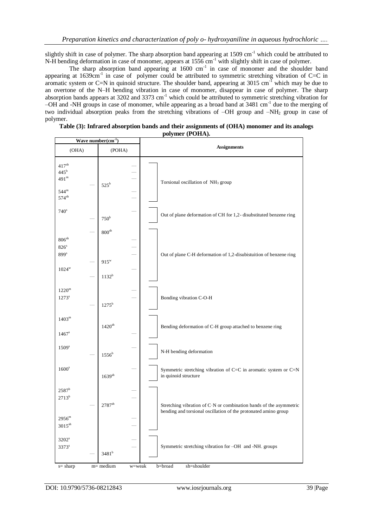slightly shift in case of polymer. The sharp absorption band appearing at 1509 cm<sup>-1</sup> which could be attributed to N-H bending deformation in case of monomer, appears at 1556 cm<sup>-1</sup> with slightly shift in case of polymer.

The sharp absorption band appearing at  $1600 \text{ cm}^{-1}$  in case of monomer and the shoulder band appearing at  $1639 \text{cm}^{-1}$  in case of polymer could be attributed to symmetric stretching vibration of C=C in aromatic system or C=N in quinoid structure. The shoulder band, appearing at  $3015 \text{ cm}^{-1}$  which may be due to an overtone of the N–H bending vibration in case of monomer, disappear in case of polymer. The sharp absorption bands appears at 3202 and 3373 cm<sup>-1</sup> which could be attributed to symmetric stretching vibration for –OH and -NH groups in case of monomer, while appearing as a broad band at 3481 cm-1 due to the merging of two individual absorption peaks from the stretching vibrations of –OH group and –NH<sup>2</sup> group in case of polymer.

| Wave number $(cm-1)$                                                                      |                                                |                                                                                                                                       |  |  |  |  |
|-------------------------------------------------------------------------------------------|------------------------------------------------|---------------------------------------------------------------------------------------------------------------------------------------|--|--|--|--|
| (OHA)                                                                                     | (POHA)                                         | <b>Assignments</b>                                                                                                                    |  |  |  |  |
| $417^{\rm sh}$<br>445 <sup>b</sup><br>491 <sup>m</sup><br>$544^{\rm m}$<br>$574^{\rm sh}$ | $525^{\rm b}$<br>$\overline{a}$                | Torsional oscillation of NH <sub>3</sub> group                                                                                        |  |  |  |  |
| 740 <sup>s</sup>                                                                          | 750 <sup>b</sup>                               | Out of plane deformation of CH for 1,2- disubstituted benzene ring                                                                    |  |  |  |  |
| $806^{\rm sh}$<br>826 <sup>s</sup><br>$899^{\rm s}$<br>$1024^w$                           | 800 <sup>sh</sup><br>$915^{\rm w}$<br>$1132^b$ | Out of plane C-H deformation of 1,2-disubistuition of benzene ring                                                                    |  |  |  |  |
| $1220^{\rm m}$<br>$1273^s$                                                                | $1275^{\rm b}$                                 | Bonding vibration C-O-H                                                                                                               |  |  |  |  |
| $1403^{\rm m}$<br>$1467^s$                                                                | $1420^{\rm sh}$                                | Bending deformation of C-H group attached to benzene ring                                                                             |  |  |  |  |
| 1509 <sup>s</sup>                                                                         | $1556^{\rm b}$                                 | N-H bending deformation                                                                                                               |  |  |  |  |
| 1600 <sup>s</sup>                                                                         | $1639^{\rm sh}$                                | Symmetric stretching vibration of C=C in aromatic system or C=N<br>in quinoid structure                                               |  |  |  |  |
| $2587^b$<br>$2713^{b}$<br>$2956^{\rm m}$<br>$3015^{\text{sh}}$                            | $2787^{\rm sh}$                                | Stretching vibration of C-N or combination bands of the asymmetric<br>bending and torsional oscillation of the protonated amino group |  |  |  |  |
| 3202 <sup>s</sup><br>3373 <sup>s</sup>                                                    | $3481^{\rm b}$                                 | Symmetric stretching vibration for -OH and -NH. groups                                                                                |  |  |  |  |

| Table (3): Infrared absorption bands and their assignments of (OHA) monomer and its analogs |
|---------------------------------------------------------------------------------------------|
| polymer (POHA).                                                                             |

s= sharp m= medium w=weak b=broad sh=shoulder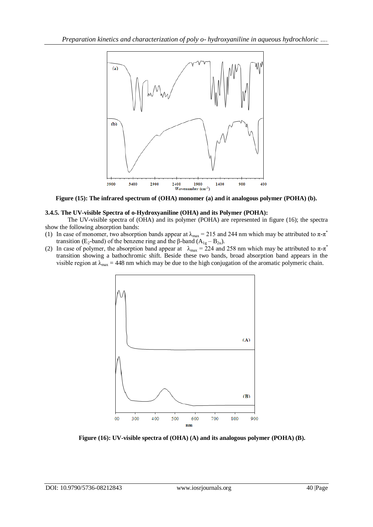

**Figure (15): The infrared spectrum of (OHA) monomer (a) and it analogous polymer (POHA) (b).**

# **3.4.5. The UV-visible Spectra of o-Hydroxyaniline (OHA) and its Polymer (POHA):**

The UV-visible spectra of (OHA) and its polymer (POHA) are represented in figure (16); the spectra show the following absorption bands:

- (1) In case of monomer, two absorption bands appear at  $\lambda_{\text{max}} = 215$  and 244 nm which may be attributed to  $\pi \text{-} \pi^*$ transition (E<sub>2</sub>-band) of the benzene ring and the β-band (A<sub>1g</sub> – B<sub>2u</sub>).
- (2) In case of polymer, the absorption band appear at  $\lambda_{\text{max}} = 224$  and 258 nm which may be attributed to  $\pi$ - $\pi$ <sup>\*</sup> transition showing a bathochromic shift. Beside these two bands, broad absorption band appears in the visible region at  $\lambda_{\text{max}} = 448$  nm which may be due to the high conjugation of the aromatic polymeric chain.



**Figure (16): UV-visible spectra of (OHA) (A) and its analogous polymer (POHA) (B).**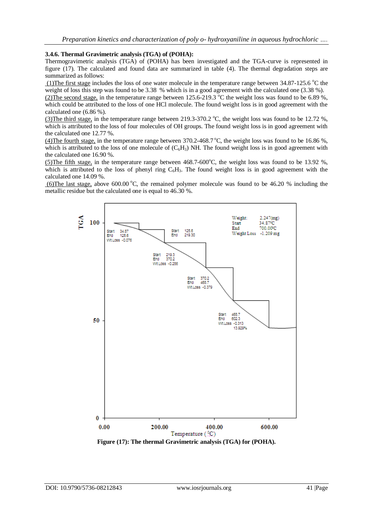# **3.4.6. Thermal Gravimetric analysis (TGA) of (POHA):**

Thermogravimetric analysis (TGA) of (POHA) has been investigated and the TGA-curve is represented in figure (17). The calculated and found data are summarized in table (4). The thermal degradation steps are summarized as follows:

(1)The first stage includes the loss of one water molecule in the temperature range between  $34.87\text{-}125.6\text{ °C}$  the weight of loss this step was found to be 3.38 % which is in a good agreement with the calculated one  $(3.38 \text{ %})$ .

(2)The second stage, in the temperature range between  $125.6-219.3$  °C the weight loss was found to be 6.89 %, which could be attributed to the loss of one HCl molecule. The found weight loss is in good agreement with the calculated one (6.86 %).

(3) The third stage, in the temperature range between 219.3-370.2  $\degree$ C, the weight loss was found to be 12.72 %, which is attributed to the loss of four molecules of OH groups. The found weight loss is in good agreement with the calculated one 12.77 %.

(4)The fourth stage, in the temperature range between  $370.2-468.7$  °C, the weight loss was found to be 16.86 %, which is attributed to the loss of one molecule of  $(C_6H_3)$  NH. The found weight loss is in good agreement with the calculated one 16.90 %.

(5)The fifth stage, in the temperature range between  $468.7-600^{\circ}$ C, the weight loss was found to be 13.92 %, which is attributed to the loss of phenyl ring  $C_6H_3$ . The found weight loss is in good agreement with the calculated one 14.09 %.

(6)The last stage, above 600.00 °C, the remained polymer molecule was found to be 46.20 % including the metallic residue but the calculated one is equal to 46.30 %.

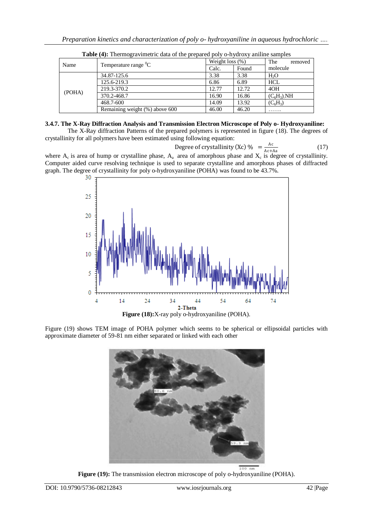|        | $\frac{1}{2}$                  | - p - - p - - - - p - - <i>, -</i> - - <i>, -</i> - - - ,<br>Weight loss $(\%)$ |                                         | The<br>removed   |
|--------|--------------------------------|---------------------------------------------------------------------------------|-----------------------------------------|------------------|
| Name   | Temperature range ${}^{0}C$    | Calc.                                                                           | Found<br>3.38<br>6.89<br>12.72<br>16.86 | molecule         |
| (POHA) | 34.87-125.6                    | 3.38                                                                            |                                         | H <sub>2</sub> O |
|        | 125.6-219.3                    | 6.86                                                                            |                                         | <b>HCL</b>       |
|        | 219.3-370.2                    | 12.77                                                                           |                                         | 4OH              |
|        | 370.2-468.7                    | 16.90                                                                           |                                         | $(C_6H_3)$ .NH   |
|        | 468.7-600                      | 14.09                                                                           | 13.92                                   | $(C_6H_3)$       |
|        | Remaining weight (%) above 600 | 46.00                                                                           | 46.20                                   | .                |

**Table (4):** Thermogravimetric data of the prepared poly o-hydroxy aniline samples

# **3.4.7. The X-Ray Diffraction Analysis and Transmission Electron Microscope of Poly o- Hydroxyaniline:**

The X-Ray diffraction Patterns of the prepared polymers is represented in figure (18). The degrees of crystallinity for all polymers have been estimated using following equation:

Degree of crystallinity (Xc) % 
$$
=\frac{Ac}{Ac+Aa}
$$
 (17)

where  $A_c$  is area of hump or crystalline phase,  $A_a$  area of amorphous phase and  $X_c$  is degree of crystallinity. Computer aided curve resolving technique is used to separate crystalline and amorphous phases of diffracted graph. The degree of crystallinity for poly o-hydroxyaniline (POHA) was found to be 43.7%.



Figure (19) shows TEM image of POHA polymer which seems to be spherical or ellipsoidal particles with approximate diameter of 59-81 nm either separated or linked with each other



**Figure (19):** The transmission electron microscope of poly o-hydroxyaniline (POHA).